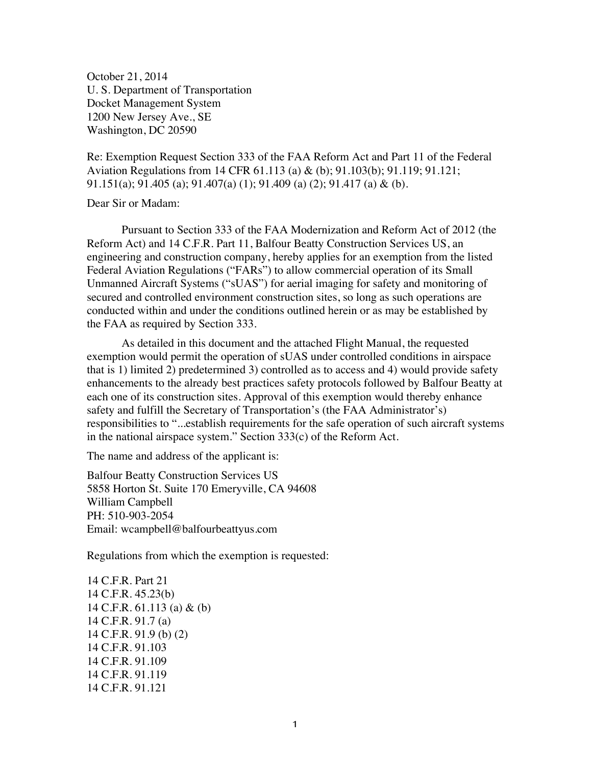October 21, 2014 U. S. Department of Transportation Docket Management System 1200 New Jersey Ave., SE Washington, DC 20590

Re: Exemption Request Section 333 of the FAA Reform Act and Part 11 of the Federal Aviation Regulations from 14 CFR 61.113 (a) & (b); 91.103(b); 91.119; 91.121; 91.151(a); 91.405 (a); 91.407(a) (1); 91.409 (a) (2); 91.417 (a) & (b).

Dear Sir or Madam:

Pursuant to Section 333 of the FAA Modernization and Reform Act of 2012 (the Reform Act) and 14 C.F.R. Part 11, Balfour Beatty Construction Services US, an engineering and construction company, hereby applies for an exemption from the listed Federal Aviation Regulations ("FARs") to allow commercial operation of its Small Unmanned Aircraft Systems ("sUAS") for aerial imaging for safety and monitoring of secured and controlled environment construction sites, so long as such operations are conducted within and under the conditions outlined herein or as may be established by the FAA as required by Section 333.

As detailed in this document and the attached Flight Manual, the requested exemption would permit the operation of sUAS under controlled conditions in airspace that is 1) limited 2) predetermined 3) controlled as to access and 4) would provide safety enhancements to the already best practices safety protocols followed by Balfour Beatty at each one of its construction sites. Approval of this exemption would thereby enhance safety and fulfill the Secretary of Transportation's (the FAA Administrator's) responsibilities to "...establish requirements for the safe operation of such aircraft systems in the national airspace system." Section 333(c) of the Reform Act.

The name and address of the applicant is:

Balfour Beatty Construction Services US 5858 Horton St. Suite 170 Emeryville, CA 94608 William Campbell PH: 510-903-2054 Email: wcampbell@balfourbeattyus.com

Regulations from which the exemption is requested:

14 C.F.R. Part 21 14 C.F.R. 45.23(b) 14 C.F.R. 61.113 (a) & (b) 14 C.F.R. 91.7 (a) 14 C.F.R. 91.9 (b) (2) 14 C.F.R. 91.103 14 C.F.R. 91.109 14 C.F.R. 91.119 14 C.F.R. 91.121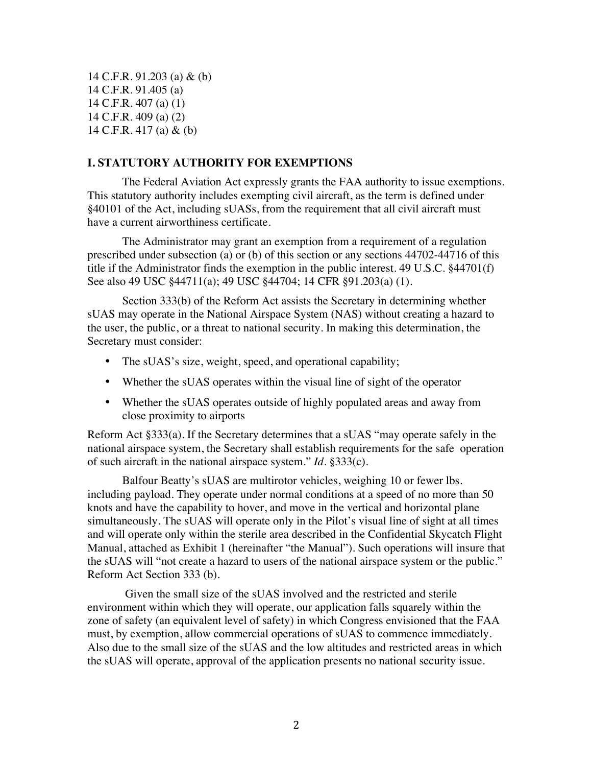14 C.F.R. 91.203 (a) & (b) 14 C.F.R. 91.405 (a) 14 C.F.R. 407 (a) (1) 14 C.F.R. 409 (a) (2) 14 C.F.R. 417 (a) & (b)

#### **I. STATUTORY AUTHORITY FOR EXEMPTIONS**

The Federal Aviation Act expressly grants the FAA authority to issue exemptions. This statutory authority includes exempting civil aircraft, as the term is defined under §40101 of the Act, including sUASs, from the requirement that all civil aircraft must have a current airworthiness certificate.

The Administrator may grant an exemption from a requirement of a regulation prescribed under subsection (a) or (b) of this section or any sections 44702-44716 of this title if the Administrator finds the exemption in the public interest. 49 U.S.C. §44701(f) See also 49 USC §44711(a); 49 USC §44704; 14 CFR §91.203(a) (1).

Section 333(b) of the Reform Act assists the Secretary in determining whether sUAS may operate in the National Airspace System (NAS) without creating a hazard to the user, the public, or a threat to national security. In making this determination, the Secretary must consider:

- The sUAS's size, weight, speed, and operational capability;
- Whether the sUAS operates within the visual line of sight of the operator
- Whether the sUAS operates outside of highly populated areas and away from close proximity to airports

Reform Act §333(a). If the Secretary determines that a sUAS "may operate safely in the national airspace system, the Secretary shall establish requirements for the safe operation of such aircraft in the national airspace system." *Id*. §333(c).

Balfour Beatty's sUAS are multirotor vehicles, weighing 10 or fewer lbs. including payload. They operate under normal conditions at a speed of no more than 50 knots and have the capability to hover, and move in the vertical and horizontal plane simultaneously. The sUAS will operate only in the Pilot's visual line of sight at all times and will operate only within the sterile area described in the Confidential Skycatch Flight Manual, attached as Exhibit 1 (hereinafter "the Manual"). Such operations will insure that the sUAS will "not create a hazard to users of the national airspace system or the public." Reform Act Section 333 (b).

Given the small size of the sUAS involved and the restricted and sterile environment within which they will operate, our application falls squarely within the zone of safety (an equivalent level of safety) in which Congress envisioned that the FAA must, by exemption, allow commercial operations of sUAS to commence immediately. Also due to the small size of the sUAS and the low altitudes and restricted areas in which the sUAS will operate, approval of the application presents no national security issue.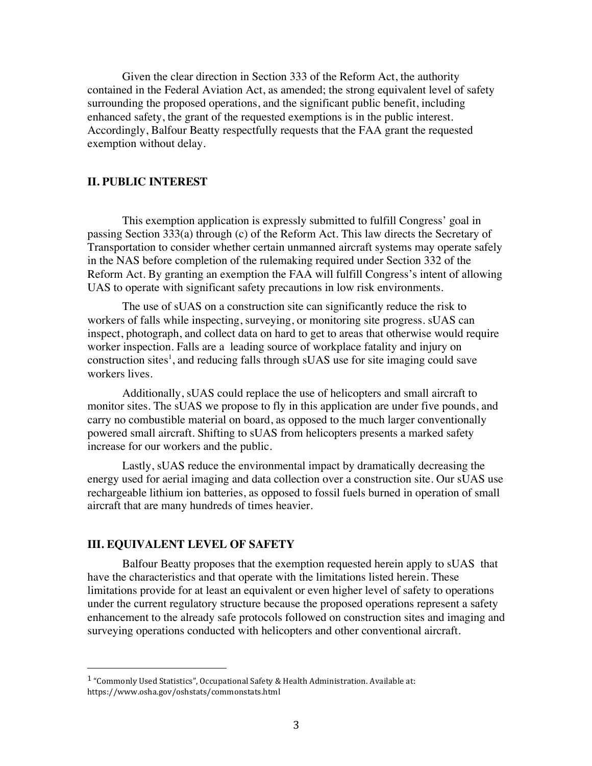Given the clear direction in Section 333 of the Reform Act, the authority contained in the Federal Aviation Act, as amended; the strong equivalent level of safety surrounding the proposed operations, and the significant public benefit, including enhanced safety, the grant of the requested exemptions is in the public interest. Accordingly, Balfour Beatty respectfully requests that the FAA grant the requested exemption without delay.

#### **II. PUBLIC INTEREST**

This exemption application is expressly submitted to fulfill Congress' goal in passing Section 333(a) through (c) of the Reform Act. This law directs the Secretary of Transportation to consider whether certain unmanned aircraft systems may operate safely in the NAS before completion of the rulemaking required under Section 332 of the Reform Act. By granting an exemption the FAA will fulfill Congress's intent of allowing UAS to operate with significant safety precautions in low risk environments.

The use of sUAS on a construction site can significantly reduce the risk to workers of falls while inspecting, surveying, or monitoring site progress. sUAS can inspect, photograph, and collect data on hard to get to areas that otherwise would require worker inspection. Falls are a leading source of workplace fatality and injury on construction sites<sup>1</sup>, and reducing falls through sUAS use for site imaging could save workers lives.

Additionally, sUAS could replace the use of helicopters and small aircraft to monitor sites. The sUAS we propose to fly in this application are under five pounds, and carry no combustible material on board, as opposed to the much larger conventionally powered small aircraft. Shifting to sUAS from helicopters presents a marked safety increase for our workers and the public.

Lastly, sUAS reduce the environmental impact by dramatically decreasing the energy used for aerial imaging and data collection over a construction site. Our sUAS use rechargeable lithium ion batteries, as opposed to fossil fuels burned in operation of small aircraft that are many hundreds of times heavier.

#### **III. EQUIVALENT LEVEL OF SAFETY**

!!!!!!!!!!!!!!!!!!!!!!!!!!!!!!!!!!!!!!!!!!!!!!!!!!!!!!!

Balfour Beatty proposes that the exemption requested herein apply to sUAS that have the characteristics and that operate with the limitations listed herein. These limitations provide for at least an equivalent or even higher level of safety to operations under the current regulatory structure because the proposed operations represent a safety enhancement to the already safe protocols followed on construction sites and imaging and surveying operations conducted with helicopters and other conventional aircraft.

<sup>&</sup>lt;sup>1</sup> "Commonly Used Statistics", Occupational Safety & Health Administration. Available at: https://www.osha.gov/oshstats/commonstats.html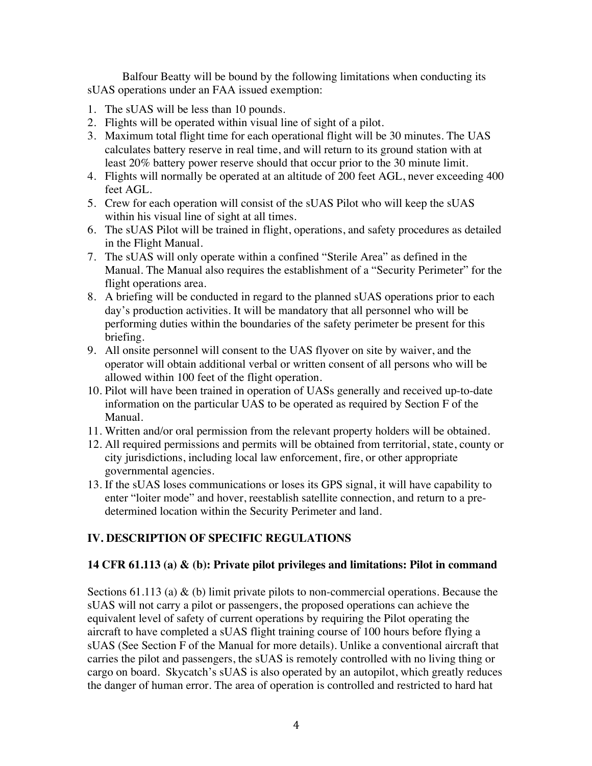Balfour Beatty will be bound by the following limitations when conducting its sUAS operations under an FAA issued exemption:

- 1. The sUAS will be less than 10 pounds.
- 2. Flights will be operated within visual line of sight of a pilot.
- 3. Maximum total flight time for each operational flight will be 30 minutes. The UAS calculates battery reserve in real time, and will return to its ground station with at least 20% battery power reserve should that occur prior to the 30 minute limit.
- 4. Flights will normally be operated at an altitude of 200 feet AGL, never exceeding 400 feet AGL.
- 5. Crew for each operation will consist of the sUAS Pilot who will keep the sUAS within his visual line of sight at all times.
- 6. The sUAS Pilot will be trained in flight, operations, and safety procedures as detailed in the Flight Manual.
- 7. The sUAS will only operate within a confined "Sterile Area" as defined in the Manual. The Manual also requires the establishment of a "Security Perimeter" for the flight operations area.
- 8. A briefing will be conducted in regard to the planned sUAS operations prior to each day's production activities. It will be mandatory that all personnel who will be performing duties within the boundaries of the safety perimeter be present for this briefing.
- 9. All onsite personnel will consent to the UAS flyover on site by waiver, and the operator will obtain additional verbal or written consent of all persons who will be allowed within 100 feet of the flight operation.
- 10. Pilot will have been trained in operation of UASs generally and received up-to-date information on the particular UAS to be operated as required by Section F of the Manual.
- 11. Written and/or oral permission from the relevant property holders will be obtained.
- 12. All required permissions and permits will be obtained from territorial, state, county or city jurisdictions, including local law enforcement, fire, or other appropriate governmental agencies.
- 13. If the sUAS loses communications or loses its GPS signal, it will have capability to enter "loiter mode" and hover, reestablish satellite connection, and return to a predetermined location within the Security Perimeter and land.

## **IV. DESCRIPTION OF SPECIFIC REGULATIONS**

## **14 CFR 61.113 (a) & (b): Private pilot privileges and limitations: Pilot in command**

Sections 61.113 (a)  $\&$  (b) limit private pilots to non-commercial operations. Because the sUAS will not carry a pilot or passengers, the proposed operations can achieve the equivalent level of safety of current operations by requiring the Pilot operating the aircraft to have completed a sUAS flight training course of 100 hours before flying a sUAS (See Section F of the Manual for more details). Unlike a conventional aircraft that carries the pilot and passengers, the sUAS is remotely controlled with no living thing or cargo on board. Skycatch's sUAS is also operated by an autopilot, which greatly reduces the danger of human error. The area of operation is controlled and restricted to hard hat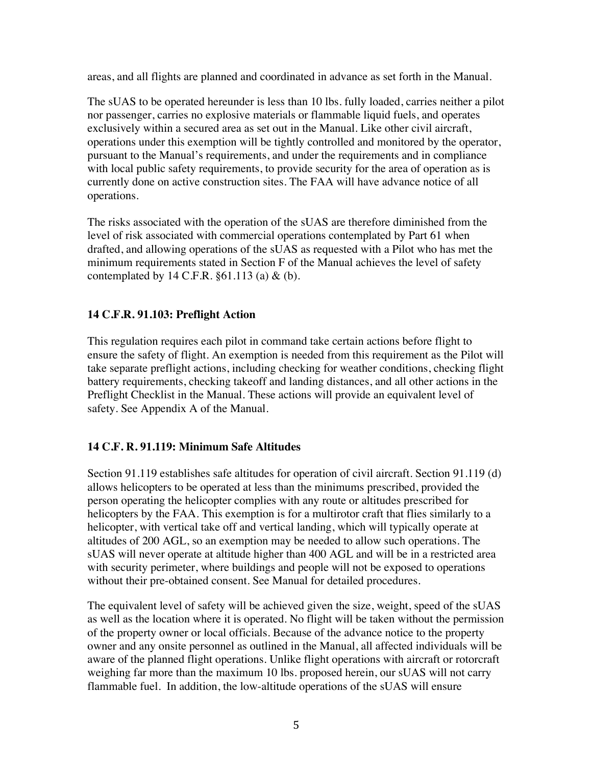areas, and all flights are planned and coordinated in advance as set forth in the Manual.

The sUAS to be operated hereunder is less than 10 lbs. fully loaded, carries neither a pilot nor passenger, carries no explosive materials or flammable liquid fuels, and operates exclusively within a secured area as set out in the Manual. Like other civil aircraft, operations under this exemption will be tightly controlled and monitored by the operator, pursuant to the Manual's requirements, and under the requirements and in compliance with local public safety requirements, to provide security for the area of operation as is currently done on active construction sites. The FAA will have advance notice of all operations.

The risks associated with the operation of the sUAS are therefore diminished from the level of risk associated with commercial operations contemplated by Part 61 when drafted, and allowing operations of the sUAS as requested with a Pilot who has met the minimum requirements stated in Section F of the Manual achieves the level of safety contemplated by 14 C.F.R.  $\S 61.113$  (a) & (b).

# **14 C.F.R. 91.103: Preflight Action**

This regulation requires each pilot in command take certain actions before flight to ensure the safety of flight. An exemption is needed from this requirement as the Pilot will take separate preflight actions, including checking for weather conditions, checking flight battery requirements, checking takeoff and landing distances, and all other actions in the Preflight Checklist in the Manual. These actions will provide an equivalent level of safety. See Appendix A of the Manual.

## **14 C.F. R. 91.119: Minimum Safe Altitudes**

Section 91.119 establishes safe altitudes for operation of civil aircraft. Section 91.119 (d) allows helicopters to be operated at less than the minimums prescribed, provided the person operating the helicopter complies with any route or altitudes prescribed for helicopters by the FAA. This exemption is for a multirotor craft that flies similarly to a helicopter, with vertical take off and vertical landing, which will typically operate at altitudes of 200 AGL, so an exemption may be needed to allow such operations. The sUAS will never operate at altitude higher than 400 AGL and will be in a restricted area with security perimeter, where buildings and people will not be exposed to operations without their pre-obtained consent. See Manual for detailed procedures.

The equivalent level of safety will be achieved given the size, weight, speed of the sUAS as well as the location where it is operated. No flight will be taken without the permission of the property owner or local officials. Because of the advance notice to the property owner and any onsite personnel as outlined in the Manual, all affected individuals will be aware of the planned flight operations. Unlike flight operations with aircraft or rotorcraft weighing far more than the maximum 10 lbs. proposed herein, our sUAS will not carry flammable fuel. In addition, the low-altitude operations of the sUAS will ensure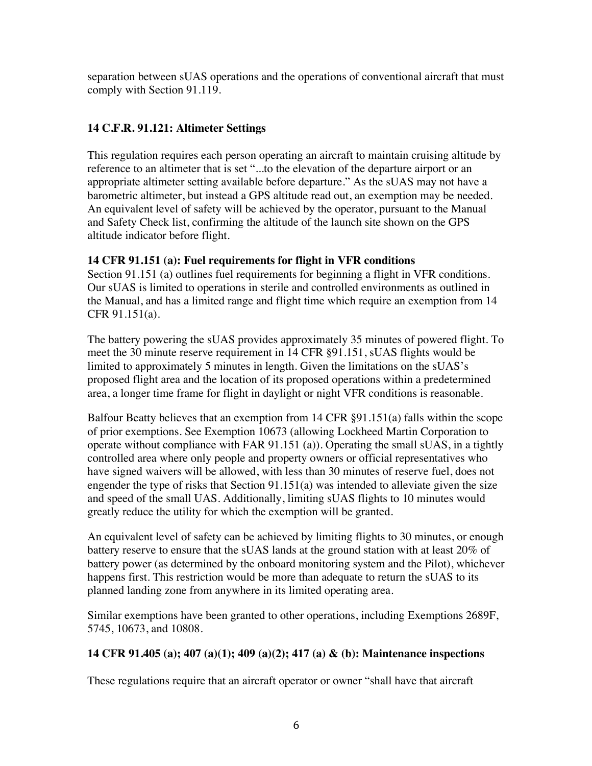separation between sUAS operations and the operations of conventional aircraft that must comply with Section 91.119.

# **14 C.F.R. 91.121: Altimeter Settings**

This regulation requires each person operating an aircraft to maintain cruising altitude by reference to an altimeter that is set "...to the elevation of the departure airport or an appropriate altimeter setting available before departure." As the sUAS may not have a barometric altimeter, but instead a GPS altitude read out, an exemption may be needed. An equivalent level of safety will be achieved by the operator, pursuant to the Manual and Safety Check list, confirming the altitude of the launch site shown on the GPS altitude indicator before flight.

## **14 CFR 91.151 (a): Fuel requirements for flight in VFR conditions**

Section 91.151 (a) outlines fuel requirements for beginning a flight in VFR conditions. Our sUAS is limited to operations in sterile and controlled environments as outlined in the Manual, and has a limited range and flight time which require an exemption from 14 CFR 91.151(a).

The battery powering the sUAS provides approximately 35 minutes of powered flight. To meet the 30 minute reserve requirement in 14 CFR §91.151, sUAS flights would be limited to approximately 5 minutes in length. Given the limitations on the sUAS's proposed flight area and the location of its proposed operations within a predetermined area, a longer time frame for flight in daylight or night VFR conditions is reasonable.

Balfour Beatty believes that an exemption from 14 CFR §91.151(a) falls within the scope of prior exemptions. See Exemption 10673 (allowing Lockheed Martin Corporation to operate without compliance with FAR 91.151 (a)). Operating the small sUAS, in a tightly controlled area where only people and property owners or official representatives who have signed waivers will be allowed, with less than 30 minutes of reserve fuel, does not engender the type of risks that Section 91.151(a) was intended to alleviate given the size and speed of the small UAS. Additionally, limiting sUAS flights to 10 minutes would greatly reduce the utility for which the exemption will be granted.

An equivalent level of safety can be achieved by limiting flights to 30 minutes, or enough battery reserve to ensure that the sUAS lands at the ground station with at least 20% of battery power (as determined by the onboard monitoring system and the Pilot), whichever happens first. This restriction would be more than adequate to return the sUAS to its planned landing zone from anywhere in its limited operating area.

Similar exemptions have been granted to other operations, including Exemptions 2689F, 5745, 10673, and 10808.

## **14 CFR 91.405 (a); 407 (a)(1); 409 (a)(2); 417 (a) & (b): Maintenance inspections**

These regulations require that an aircraft operator or owner "shall have that aircraft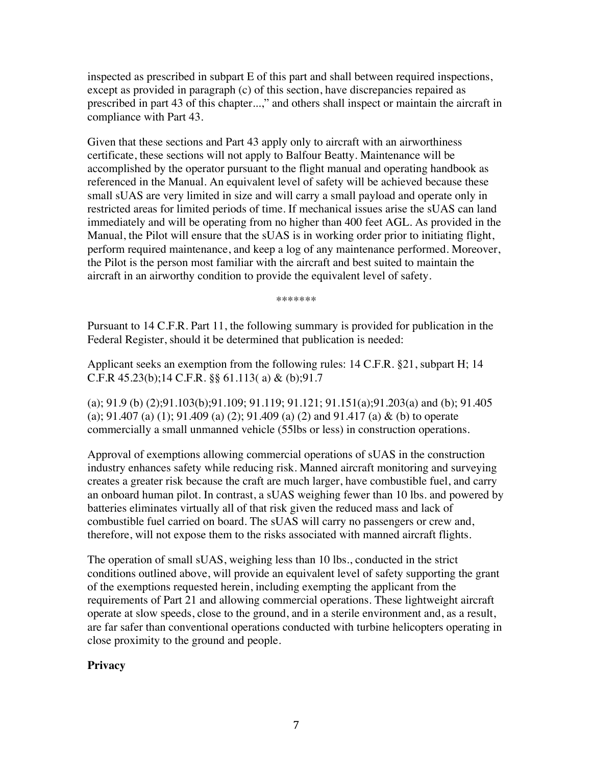inspected as prescribed in subpart E of this part and shall between required inspections, except as provided in paragraph (c) of this section, have discrepancies repaired as prescribed in part 43 of this chapter...," and others shall inspect or maintain the aircraft in compliance with Part 43.

Given that these sections and Part 43 apply only to aircraft with an airworthiness certificate, these sections will not apply to Balfour Beatty. Maintenance will be accomplished by the operator pursuant to the flight manual and operating handbook as referenced in the Manual. An equivalent level of safety will be achieved because these small sUAS are very limited in size and will carry a small payload and operate only in restricted areas for limited periods of time. If mechanical issues arise the sUAS can land immediately and will be operating from no higher than 400 feet AGL. As provided in the Manual, the Pilot will ensure that the sUAS is in working order prior to initiating flight, perform required maintenance, and keep a log of any maintenance performed. Moreover, the Pilot is the person most familiar with the aircraft and best suited to maintain the aircraft in an airworthy condition to provide the equivalent level of safety.

\*\*\*\*\*\*\*

Pursuant to 14 C.F.R. Part 11, the following summary is provided for publication in the Federal Register, should it be determined that publication is needed:

Applicant seeks an exemption from the following rules: 14 C.F.R. §21, subpart H; 14 C.F.R 45.23(b);14 C.F.R. §§ 61.113( a) & (b);91.7

(a); 91.9 (b) (2);91.103(b);91.109; 91.119; 91.121; 91.151(a);91.203(a) and (b); 91.405 (a); 91.407 (a) (1); 91.409 (a) (2); 91.409 (a) (2) and 91.417 (a) & (b) to operate commercially a small unmanned vehicle (55lbs or less) in construction operations.

Approval of exemptions allowing commercial operations of sUAS in the construction industry enhances safety while reducing risk. Manned aircraft monitoring and surveying creates a greater risk because the craft are much larger, have combustible fuel, and carry an onboard human pilot. In contrast, a sUAS weighing fewer than 10 lbs. and powered by batteries eliminates virtually all of that risk given the reduced mass and lack of combustible fuel carried on board. The sUAS will carry no passengers or crew and, therefore, will not expose them to the risks associated with manned aircraft flights.

The operation of small sUAS, weighing less than 10 lbs., conducted in the strict conditions outlined above, will provide an equivalent level of safety supporting the grant of the exemptions requested herein, including exempting the applicant from the requirements of Part 21 and allowing commercial operations. These lightweight aircraft operate at slow speeds, close to the ground, and in a sterile environment and, as a result, are far safer than conventional operations conducted with turbine helicopters operating in close proximity to the ground and people.

## **Privacy**